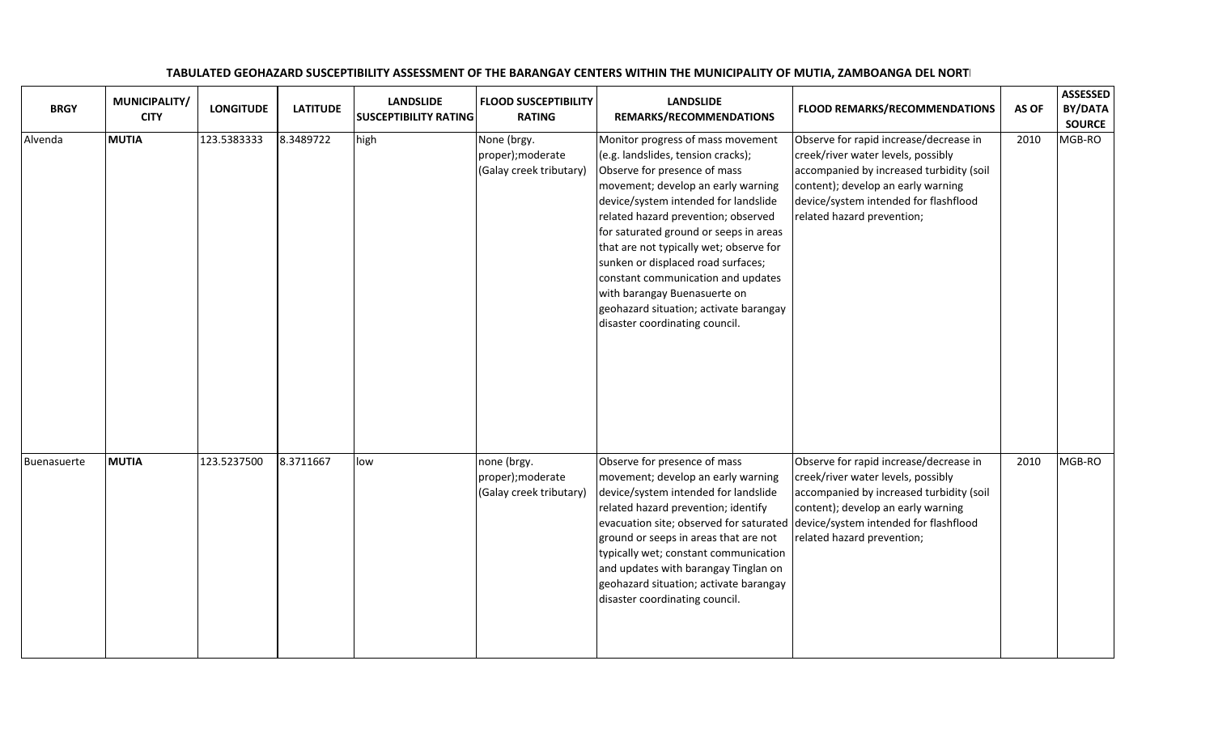| <b>BRGY</b> | MUNICIPALITY/<br><b>CITY</b> | <b>LONGITUDE</b> | <b>LATITUDE</b> | <b>LANDSLIDE</b><br><b>SUSCEPTIBILITY RATING</b> | <b>FLOOD SUSCEPTIBILITY</b><br><b>RATING</b>                | <b>LANDSLIDE</b><br>REMARKS/RECOMMENDATIONS                                                                                                                                                                                                                                                                                                                                                                                                                                                               | <b>FLOOD REMARKS/RECOMMENDATIONS</b>                                                                                                                                                                                                  | AS OF | <b>ASSESSED</b><br><b>BY/DATA</b><br><b>SOURCE</b> |
|-------------|------------------------------|------------------|-----------------|--------------------------------------------------|-------------------------------------------------------------|-----------------------------------------------------------------------------------------------------------------------------------------------------------------------------------------------------------------------------------------------------------------------------------------------------------------------------------------------------------------------------------------------------------------------------------------------------------------------------------------------------------|---------------------------------------------------------------------------------------------------------------------------------------------------------------------------------------------------------------------------------------|-------|----------------------------------------------------|
| Alvenda     | <b>MUTIA</b>                 | 123.5383333      | 8.3489722       | high                                             | None (brgy.<br>proper); moderate<br>(Galay creek tributary) | Monitor progress of mass movement<br>(e.g. landslides, tension cracks);<br>Observe for presence of mass<br>movement; develop an early warning<br>device/system intended for landslide<br>related hazard prevention; observed<br>for saturated ground or seeps in areas<br>that are not typically wet; observe for<br>sunken or displaced road surfaces;<br>constant communication and updates<br>with barangay Buenasuerte on<br>geohazard situation; activate barangay<br>disaster coordinating council. | Observe for rapid increase/decrease in<br>creek/river water levels, possibly<br>accompanied by increased turbidity (soil<br>content); develop an early warning<br>device/system intended for flashflood<br>related hazard prevention; | 2010  | MGB-RO                                             |
| Buenasuerte | <b>MUTIA</b>                 | 123.5237500      | 8.3711667       | low                                              | none (brgy.<br>proper); moderate<br>(Galay creek tributary) | Observe for presence of mass<br>movement; develop an early warning<br>device/system intended for landslide<br>related hazard prevention; identify<br>evacuation site; observed for saturated<br>ground or seeps in areas that are not<br>typically wet; constant communication<br>and updates with barangay Tinglan on<br>geohazard situation; activate barangay<br>disaster coordinating council.                                                                                                        | Observe for rapid increase/decrease in<br>creek/river water levels, possibly<br>accompanied by increased turbidity (soil<br>content); develop an early warning<br>device/system intended for flashflood<br>related hazard prevention; | 2010  | MGB-RO                                             |

## TABULATED GEOHAZARD SUSCEPTIBILITY ASSESSMENT OF THE BARANGAY CENTERS WITHIN THE MUNICIPALITY OF MUTIA, ZAMBOANGA DEL NORTI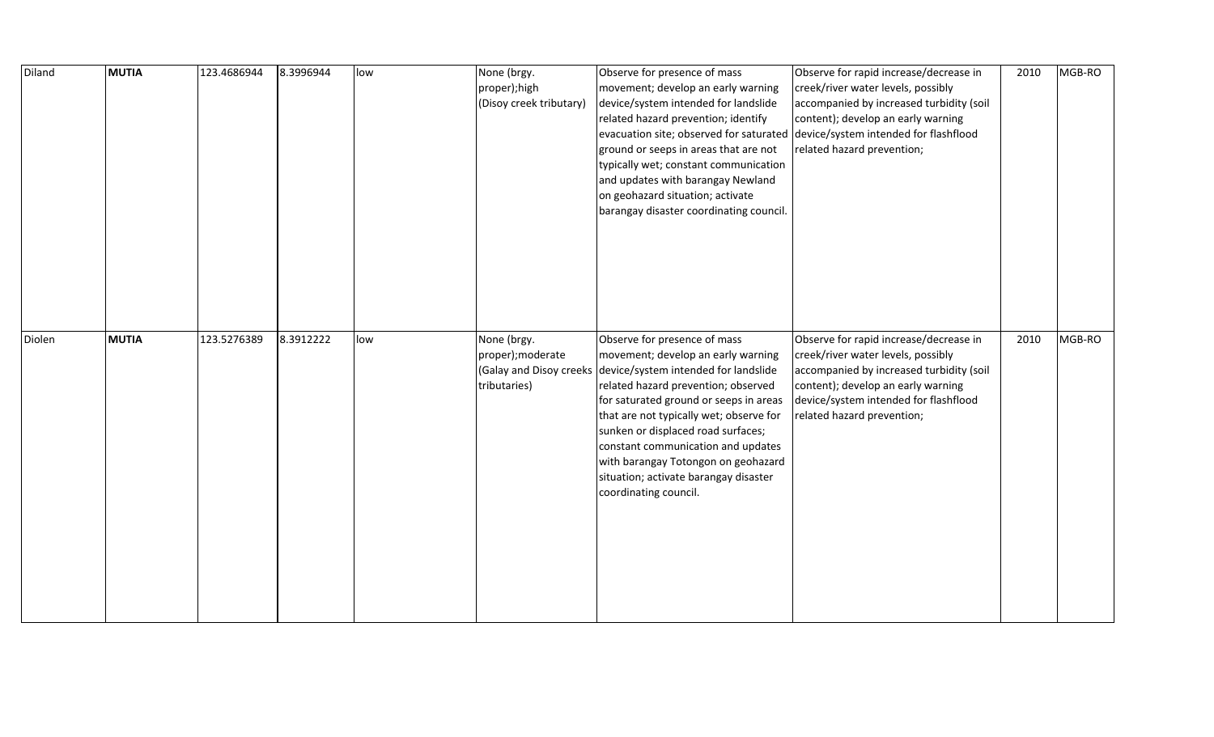| Diland | <b>MUTIA</b> | 123.4686944 | 8.3996944 | low | None (brgy.<br>proper);high<br>(Disoy creek tributary) | Observe for presence of mass<br>movement; develop an early warning<br>device/system intended for landslide<br>related hazard prevention; identify<br>evacuation site; observed for saturated device/system intended for flashflood<br>ground or seeps in areas that are not<br>typically wet; constant communication<br>and updates with barangay Newland<br>on geohazard situation; activate<br>barangay disaster coordinating council.            | Observe for rapid increase/decrease in<br>creek/river water levels, possibly<br>accompanied by increased turbidity (soil<br>content); develop an early warning<br>related hazard prevention;                                          | 2010 | MGB-RO |
|--------|--------------|-------------|-----------|-----|--------------------------------------------------------|-----------------------------------------------------------------------------------------------------------------------------------------------------------------------------------------------------------------------------------------------------------------------------------------------------------------------------------------------------------------------------------------------------------------------------------------------------|---------------------------------------------------------------------------------------------------------------------------------------------------------------------------------------------------------------------------------------|------|--------|
| Diolen | <b>MUTIA</b> | 123.5276389 | 8.3912222 | low | None (brgy.<br>proper); moderate<br>tributaries)       | Observe for presence of mass<br>movement; develop an early warning<br>(Galay and Disoy creeks device/system intended for landslide<br>related hazard prevention; observed<br>for saturated ground or seeps in areas<br>that are not typically wet; observe for<br>sunken or displaced road surfaces;<br>constant communication and updates<br>with barangay Totongon on geohazard<br>situation; activate barangay disaster<br>coordinating council. | Observe for rapid increase/decrease in<br>creek/river water levels, possibly<br>accompanied by increased turbidity (soil<br>content); develop an early warning<br>device/system intended for flashflood<br>related hazard prevention; | 2010 | MGB-RO |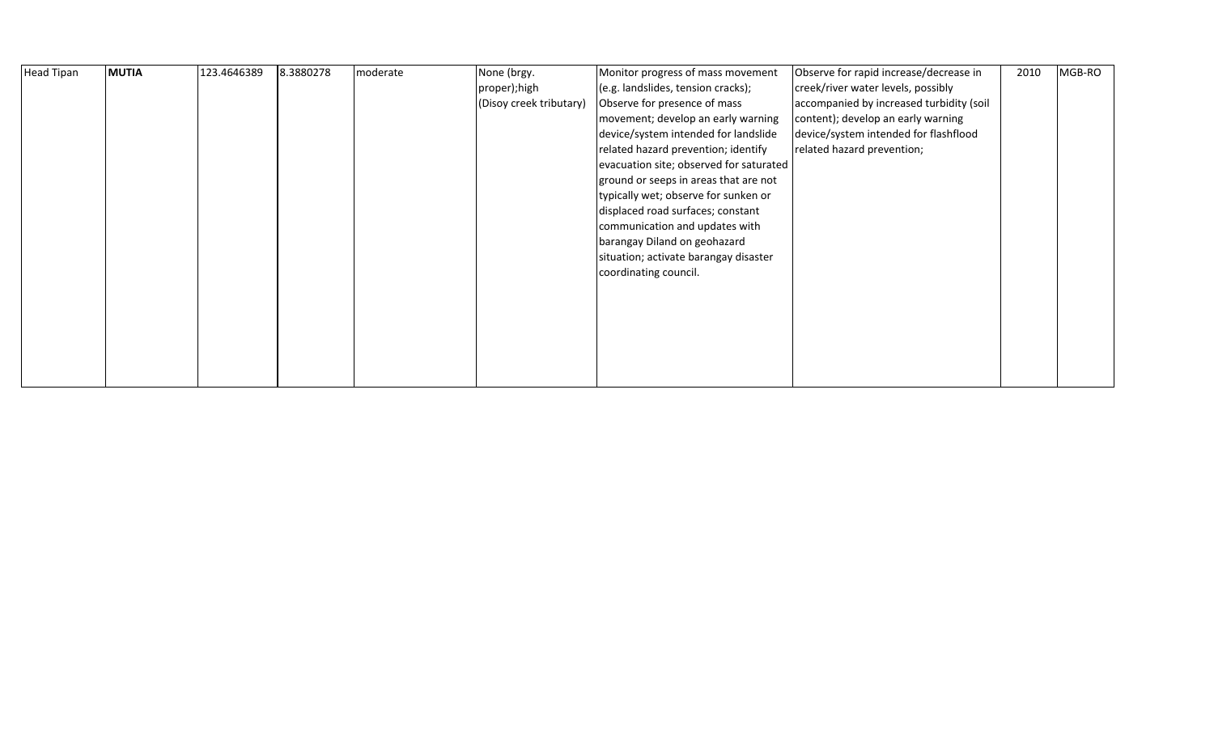| <b>Head Tipan</b> | <b>MUTIA</b> | 123.4646389 | 8.3880278 | moderate | None (brgy.             | Monitor progress of mass movement       | Observe for rapid increase/decrease in   | 2010 | MGB-RO |
|-------------------|--------------|-------------|-----------|----------|-------------------------|-----------------------------------------|------------------------------------------|------|--------|
|                   |              |             |           |          | proper); high           | (e.g. landslides, tension cracks);      | creek/river water levels, possibly       |      |        |
|                   |              |             |           |          | (Disoy creek tributary) | Observe for presence of mass            | accompanied by increased turbidity (soil |      |        |
|                   |              |             |           |          |                         | movement; develop an early warning      | content); develop an early warning       |      |        |
|                   |              |             |           |          |                         | device/system intended for landslide    | device/system intended for flashflood    |      |        |
|                   |              |             |           |          |                         | related hazard prevention; identify     | related hazard prevention;               |      |        |
|                   |              |             |           |          |                         | evacuation site; observed for saturated |                                          |      |        |
|                   |              |             |           |          |                         | ground or seeps in areas that are not   |                                          |      |        |
|                   |              |             |           |          |                         | typically wet; observe for sunken or    |                                          |      |        |
|                   |              |             |           |          |                         | displaced road surfaces; constant       |                                          |      |        |
|                   |              |             |           |          |                         | communication and updates with          |                                          |      |        |
|                   |              |             |           |          |                         | barangay Diland on geohazard            |                                          |      |        |
|                   |              |             |           |          |                         | situation; activate barangay disaster   |                                          |      |        |
|                   |              |             |           |          |                         | coordinating council.                   |                                          |      |        |
|                   |              |             |           |          |                         |                                         |                                          |      |        |
|                   |              |             |           |          |                         |                                         |                                          |      |        |
|                   |              |             |           |          |                         |                                         |                                          |      |        |
|                   |              |             |           |          |                         |                                         |                                          |      |        |
|                   |              |             |           |          |                         |                                         |                                          |      |        |
|                   |              |             |           |          |                         |                                         |                                          |      |        |
|                   |              |             |           |          |                         |                                         |                                          |      |        |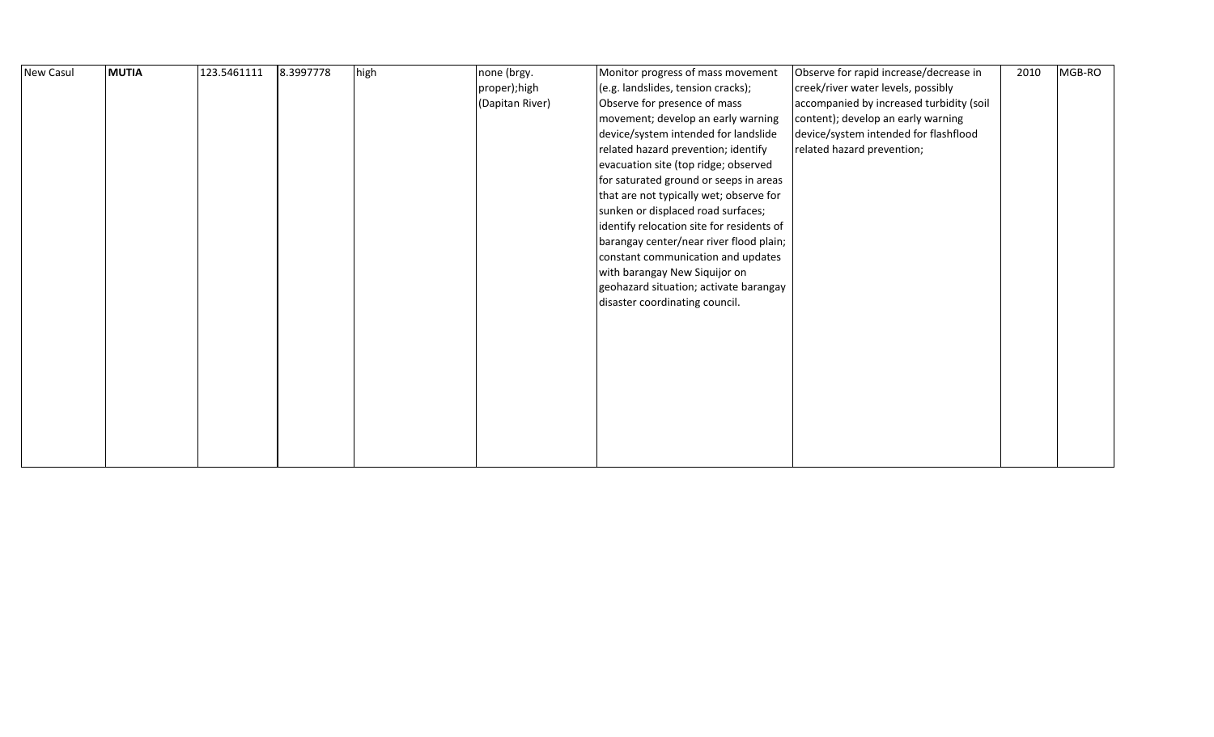| New Casul | <b>MUTIA</b> | 123.5461111 | 8.3997778 | high | none (brgy.<br>proper);high<br>(Dapitan River) | Monitor progress of mass movement<br>(e.g. landslides, tension cracks);<br>Observe for presence of mass<br>movement; develop an early warning<br>device/system intended for landslide<br>related hazard prevention; identify<br>evacuation site (top ridge; observed<br>for saturated ground or seeps in areas<br>that are not typically wet; observe for<br>sunken or displaced road surfaces;<br>identify relocation site for residents of<br>barangay center/near river flood plain;<br>constant communication and updates<br>with barangay New Siquijor on<br>geohazard situation; activate barangay | Observe for rapid increase/decrease in<br>creek/river water levels, possibly<br>accompanied by increased turbidity (soil<br>content); develop an early warning<br>device/system intended for flashflood<br>related hazard prevention; | 2010 | MGB-RO |  |
|-----------|--------------|-------------|-----------|------|------------------------------------------------|----------------------------------------------------------------------------------------------------------------------------------------------------------------------------------------------------------------------------------------------------------------------------------------------------------------------------------------------------------------------------------------------------------------------------------------------------------------------------------------------------------------------------------------------------------------------------------------------------------|---------------------------------------------------------------------------------------------------------------------------------------------------------------------------------------------------------------------------------------|------|--------|--|
|           |              |             |           |      |                                                | disaster coordinating council.                                                                                                                                                                                                                                                                                                                                                                                                                                                                                                                                                                           |                                                                                                                                                                                                                                       |      |        |  |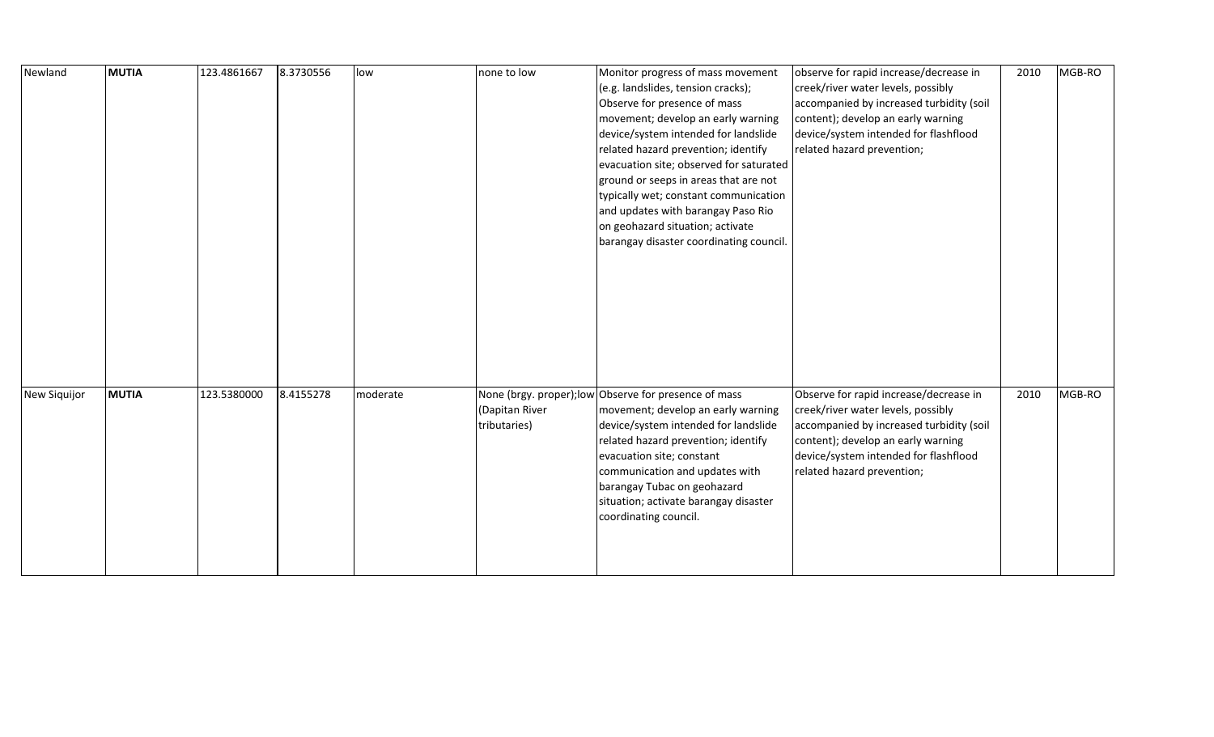| Newland      | <b>MUTIA</b> | 123.4861667 | 8.3730556 | low      | none to low                    | Monitor progress of mass movement<br>(e.g. landslides, tension cracks);<br>Observe for presence of mass<br>movement; develop an early warning<br>device/system intended for landslide<br>related hazard prevention; identify<br>evacuation site; observed for saturated<br>ground or seeps in areas that are not<br>typically wet; constant communication<br>and updates with barangay Paso Rio<br>on geohazard situation; activate<br>barangay disaster coordinating council. | observe for rapid increase/decrease in<br>creek/river water levels, possibly<br>accompanied by increased turbidity (soil<br>content); develop an early warning<br>device/system intended for flashflood<br>related hazard prevention; | 2010 | MGB-RO |
|--------------|--------------|-------------|-----------|----------|--------------------------------|--------------------------------------------------------------------------------------------------------------------------------------------------------------------------------------------------------------------------------------------------------------------------------------------------------------------------------------------------------------------------------------------------------------------------------------------------------------------------------|---------------------------------------------------------------------------------------------------------------------------------------------------------------------------------------------------------------------------------------|------|--------|
| New Siquijor | <b>MUTIA</b> | 123.5380000 | 8.4155278 | moderate | (Dapitan River<br>tributaries) | None (brgy. proper); low Observe for presence of mass<br>movement; develop an early warning<br>device/system intended for landslide<br>related hazard prevention; identify                                                                                                                                                                                                                                                                                                     | Observe for rapid increase/decrease in<br>creek/river water levels, possibly<br>accompanied by increased turbidity (soil<br>content); develop an early warning                                                                        | 2010 | MGB-RO |
|              |              |             |           |          |                                | evacuation site; constant<br>communication and updates with<br>barangay Tubac on geohazard<br>situation; activate barangay disaster<br>coordinating council.                                                                                                                                                                                                                                                                                                                   | device/system intended for flashflood<br>related hazard prevention;                                                                                                                                                                   |      |        |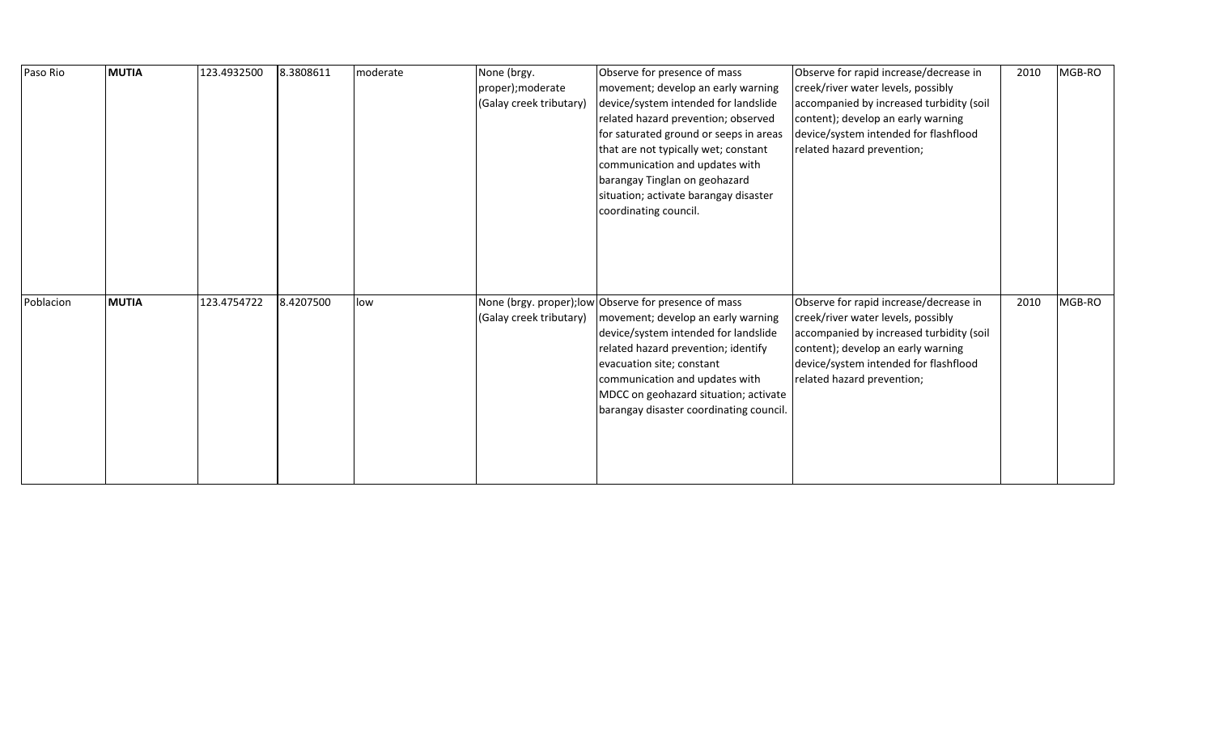| Paso Rio  | <b>MUTIA</b> | 123.4932500 | 8.3808611 | moderate | None (brgy.<br>proper); moderate<br>(Galay creek tributary) | Observe for presence of mass<br>movement; develop an early warning<br>device/system intended for landslide<br>related hazard prevention; observed<br>for saturated ground or seeps in areas<br>that are not typically wet; constant<br>communication and updates with<br>barangay Tinglan on geohazard<br>situation; activate barangay disaster<br>coordinating council. | Observe for rapid increase/decrease in<br>creek/river water levels, possibly<br>accompanied by increased turbidity (soil<br>content); develop an early warning<br>device/system intended for flashflood<br>related hazard prevention; | 2010 | MGB-RO |
|-----------|--------------|-------------|-----------|----------|-------------------------------------------------------------|--------------------------------------------------------------------------------------------------------------------------------------------------------------------------------------------------------------------------------------------------------------------------------------------------------------------------------------------------------------------------|---------------------------------------------------------------------------------------------------------------------------------------------------------------------------------------------------------------------------------------|------|--------|
| Poblacion | <b>MUTIA</b> | 123.4754722 | 8.4207500 | low      | (Galay creek tributary)                                     | None (brgy. proper); low Observe for presence of mass<br>movement; develop an early warning<br>device/system intended for landslide<br>related hazard prevention; identify<br>evacuation site; constant<br>communication and updates with<br>MDCC on geohazard situation; activate<br>barangay disaster coordinating council.                                            | Observe for rapid increase/decrease in<br>creek/river water levels, possibly<br>accompanied by increased turbidity (soil<br>content); develop an early warning<br>device/system intended for flashflood<br>related hazard prevention; | 2010 | MGB-RO |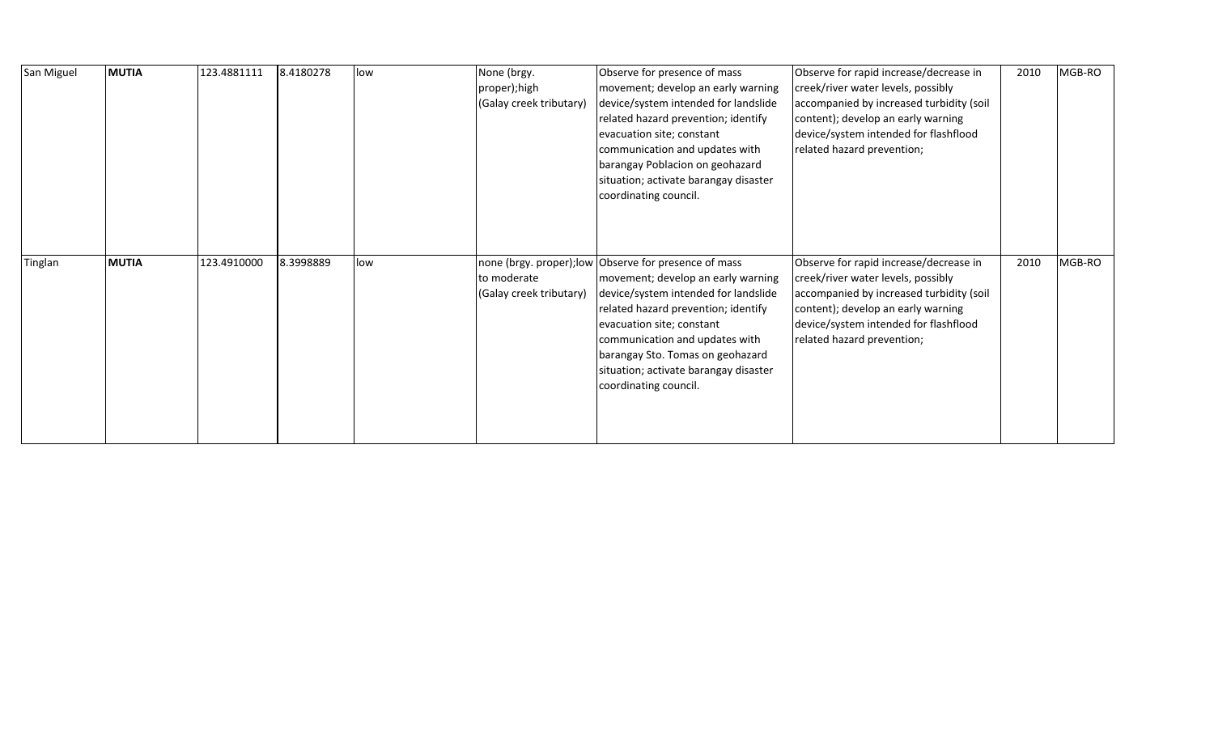| San Miguel | <b>MUTIA</b> | 123.4881111 | 8.4180278 | low | None (brgy.<br>proper);high<br>(Galay creek tributary) | Observe for presence of mass<br>movement; develop an early warning<br>device/system intended for landslide<br>related hazard prevention; identify<br>evacuation site; constant<br>communication and updates with<br>barangay Poblacion on geohazard<br>situation; activate barangay disaster<br>coordinating council.                           | Observe for rapid increase/decrease in<br>creek/river water levels, possibly<br>accompanied by increased turbidity (soil<br>content); develop an early warning<br>device/system intended for flashflood<br>related hazard prevention; | 2010 | MGB-RO |
|------------|--------------|-------------|-----------|-----|--------------------------------------------------------|-------------------------------------------------------------------------------------------------------------------------------------------------------------------------------------------------------------------------------------------------------------------------------------------------------------------------------------------------|---------------------------------------------------------------------------------------------------------------------------------------------------------------------------------------------------------------------------------------|------|--------|
| Tinglan    | <b>MUTIA</b> | 123.4910000 | 8.3998889 | low | to moderate<br>(Galay creek tributary)                 | none (brgy. proper); low Observe for presence of mass<br>movement; develop an early warning<br>device/system intended for landslide<br>related hazard prevention; identify<br>evacuation site; constant<br>communication and updates with<br>barangay Sto. Tomas on geohazard<br>situation; activate barangay disaster<br>coordinating council. | Observe for rapid increase/decrease in<br>creek/river water levels, possibly<br>accompanied by increased turbidity (soil<br>content); develop an early warning<br>device/system intended for flashflood<br>related hazard prevention; | 2010 | MGB-RO |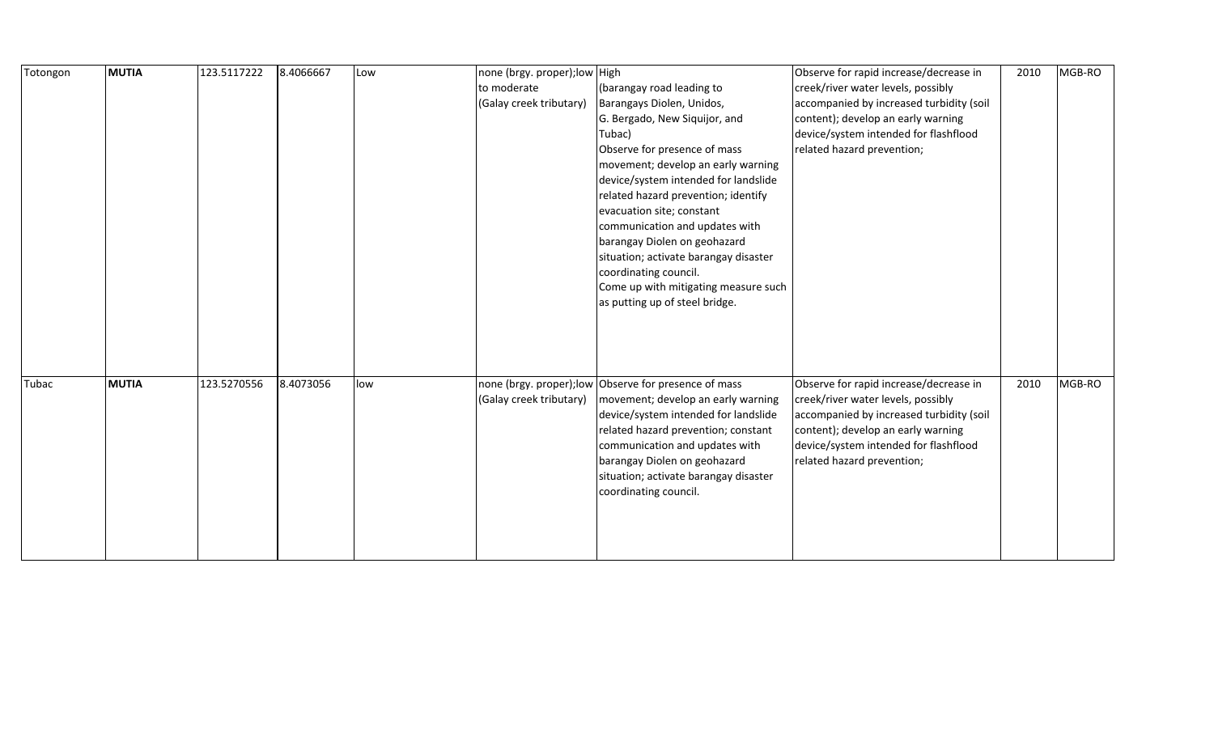| Totongon | <b>MUTIA</b> | 123.5117222 | 8.4066667 | Low | none (brgy. proper); low High |                                                                                                                                  | Observe for rapid increase/decrease in                              | 2010 | MGB-RO |
|----------|--------------|-------------|-----------|-----|-------------------------------|----------------------------------------------------------------------------------------------------------------------------------|---------------------------------------------------------------------|------|--------|
|          |              |             |           |     | to moderate                   | (barangay road leading to                                                                                                        | creek/river water levels, possibly                                  |      |        |
|          |              |             |           |     | (Galay creek tributary)       | Barangays Diolen, Unidos,                                                                                                        | accompanied by increased turbidity (soil                            |      |        |
|          |              |             |           |     |                               | G. Bergado, New Siquijor, and                                                                                                    | content); develop an early warning                                  |      |        |
|          |              |             |           |     |                               | Tubac)                                                                                                                           | device/system intended for flashflood                               |      |        |
|          |              |             |           |     |                               | Observe for presence of mass                                                                                                     | related hazard prevention;                                          |      |        |
|          |              |             |           |     |                               | movement; develop an early warning                                                                                               |                                                                     |      |        |
|          |              |             |           |     |                               | device/system intended for landslide                                                                                             |                                                                     |      |        |
|          |              |             |           |     |                               | related hazard prevention; identify                                                                                              |                                                                     |      |        |
|          |              |             |           |     |                               | evacuation site; constant                                                                                                        |                                                                     |      |        |
|          |              |             |           |     |                               | communication and updates with                                                                                                   |                                                                     |      |        |
|          |              |             |           |     |                               | barangay Diolen on geohazard                                                                                                     |                                                                     |      |        |
|          |              |             |           |     |                               | situation; activate barangay disaster                                                                                            |                                                                     |      |        |
|          |              |             |           |     |                               | coordinating council.                                                                                                            |                                                                     |      |        |
|          |              |             |           |     |                               | Come up with mitigating measure such                                                                                             |                                                                     |      |        |
|          |              |             |           |     |                               | as putting up of steel bridge.                                                                                                   |                                                                     |      |        |
|          |              |             |           |     |                               |                                                                                                                                  |                                                                     |      |        |
|          |              |             |           |     |                               |                                                                                                                                  |                                                                     |      |        |
|          |              |             |           |     |                               |                                                                                                                                  |                                                                     |      |        |
|          |              |             |           |     |                               |                                                                                                                                  |                                                                     |      |        |
| Tubac    | <b>MUTIA</b> | 123.5270556 | 8.4073056 | low |                               | none (brgy. proper); low Observe for presence of mass                                                                            | Observe for rapid increase/decrease in                              | 2010 | MGB-RO |
|          |              |             |           |     | (Galay creek tributary)       | movement; develop an early warning                                                                                               | creek/river water levels, possibly                                  |      |        |
|          |              |             |           |     |                               | device/system intended for landslide                                                                                             | accompanied by increased turbidity (soil                            |      |        |
|          |              |             |           |     |                               | related hazard prevention; constant                                                                                              | content); develop an early warning                                  |      |        |
|          |              |             |           |     |                               |                                                                                                                                  |                                                                     |      |        |
|          |              |             |           |     |                               |                                                                                                                                  |                                                                     |      |        |
|          |              |             |           |     |                               |                                                                                                                                  |                                                                     |      |        |
|          |              |             |           |     |                               |                                                                                                                                  |                                                                     |      |        |
|          |              |             |           |     |                               |                                                                                                                                  |                                                                     |      |        |
|          |              |             |           |     |                               |                                                                                                                                  |                                                                     |      |        |
|          |              |             |           |     |                               |                                                                                                                                  |                                                                     |      |        |
|          |              |             |           |     |                               |                                                                                                                                  |                                                                     |      |        |
|          |              |             |           |     |                               | communication and updates with<br>barangay Diolen on geohazard<br>situation; activate barangay disaster<br>coordinating council. | device/system intended for flashflood<br>related hazard prevention; |      |        |